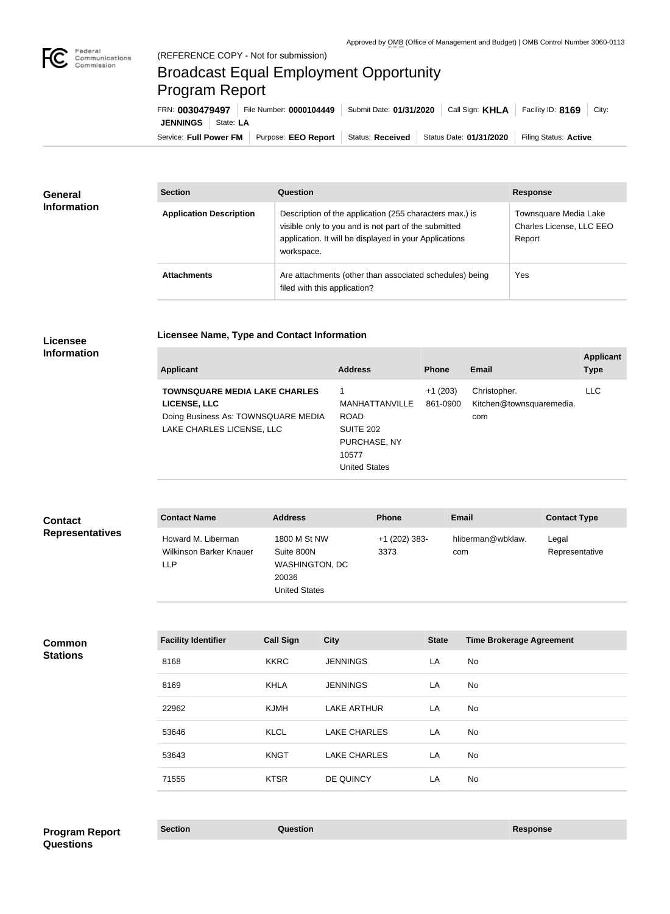

## Broadcast Equal Employment Opportunity Program Report

**Licensee Name, Type and Contact Information**

Service: Full Power FM Purpose: EEO Report | Status: Received | Status Date: 01/31/2020 | Filing Status: Active **JENNINGS** | State: LA FRN: **0030479497** File Number: **0000104449** Submit Date: **01/31/2020** Call Sign: **KHLA** Facility ID: **8169** City:

| General<br><b>Information</b> | <b>Section</b>                 | Question                                                                                                                                                                                | <b>Response</b>                                             |
|-------------------------------|--------------------------------|-----------------------------------------------------------------------------------------------------------------------------------------------------------------------------------------|-------------------------------------------------------------|
|                               | <b>Application Description</b> | Description of the application (255 characters max.) is<br>visible only to you and is not part of the submitted<br>application. It will be displayed in your Applications<br>workspace. | Townsquare Media Lake<br>Charles License, LLC EEO<br>Report |
|                               | <b>Attachments</b>             | Are attachments (other than associated schedules) being<br>filed with this application?                                                                                                 | Yes                                                         |

## **Licensee Information**

| <b>Applicant</b>                                                                                                         | <b>Address</b>                                                                              | <b>Phone</b>          | Email                                           | <b>Applicant</b><br><b>Type</b> |
|--------------------------------------------------------------------------------------------------------------------------|---------------------------------------------------------------------------------------------|-----------------------|-------------------------------------------------|---------------------------------|
| <b>TOWNSQUARE MEDIA LAKE CHARLES</b><br>LICENSE, LLC<br>Doing Business As: TOWNSQUARE MEDIA<br>LAKE CHARLES LICENSE, LLC | MANHATTANVILLE<br><b>ROAD</b><br>SUITE 202<br>PURCHASE, NY<br>10577<br><b>United States</b> | $+1(203)$<br>861-0900 | Christopher.<br>Kitchen@townsquaremedia.<br>com | LLC                             |

| <b>Contact</b>         | <b>Contact Name</b>                                  | <b>Address</b>                                                                       | <b>Phone</b>          | <b>Email</b>             | <b>Contact Type</b>     |
|------------------------|------------------------------------------------------|--------------------------------------------------------------------------------------|-----------------------|--------------------------|-------------------------|
| <b>Representatives</b> | Howard M. Liberman<br>Wilkinson Barker Knauer<br>LLP | 1800 M St NW<br>Suite 800N<br><b>WASHINGTON, DC</b><br>20036<br><b>United States</b> | +1 (202) 383-<br>3373 | hliberman@wbklaw.<br>com | Legal<br>Representative |

| <b>Facility Identifier</b> | <b>Call Sign</b> | <b>City</b>         | <b>State</b> | <b>Time Brokerage Agreement</b> |
|----------------------------|------------------|---------------------|--------------|---------------------------------|
| 8168                       | <b>KKRC</b>      | <b>JENNINGS</b>     | LA           | No                              |
| 8169                       | <b>KHLA</b>      | <b>JENNINGS</b>     | LA           | No                              |
| 22962                      | <b>KJMH</b>      | <b>LAKE ARTHUR</b>  | LA           | No                              |
| 53646                      | <b>KLCL</b>      | <b>LAKE CHARLES</b> | LA           | No                              |
| 53643                      | <b>KNGT</b>      | <b>LAKE CHARLES</b> | LA           | No                              |
| 71555                      | <b>KTSR</b>      | DE QUINCY           | LA           | No                              |

**Section Question Response Program Report Questions**

**Common Stations**